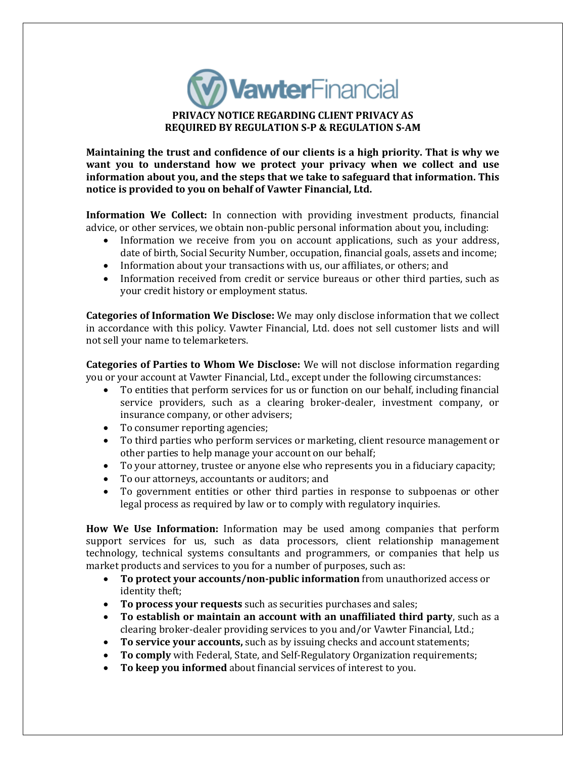

**Maintaining the trust and confidence of our clients is a high priority. That is why we want you to understand how we protect your privacy when we collect and use information about you, and the steps that we take to safeguard that information. This notice is provided to you on behalf of Vawter Financial, Ltd.**

**Information We Collect:** In connection with providing investment products, financial advice, or other services, we obtain non-public personal information about you, including:

- Information we receive from you on account applications, such as your address, date of birth, Social Security Number, occupation, financial goals, assets and income;
- Information about your transactions with us, our affiliates, or others; and
- Information received from credit or service bureaus or other third parties, such as your credit history or employment status.

**Categories of Information We Disclose:** We may only disclose information that we collect in accordance with this policy. Vawter Financial, Ltd. does not sell customer lists and will not sell your name to telemarketers.

**Categories of Parties to Whom We Disclose:** We will not disclose information regarding you or your account at Vawter Financial, Ltd., except under the following circumstances:

- To entities that perform services for us or function on our behalf, including financial service providers, such as a clearing broker-dealer, investment company, or insurance company, or other advisers;
- To consumer reporting agencies;
- To third parties who perform services or marketing, client resource management or other parties to help manage your account on our behalf;
- To your attorney, trustee or anyone else who represents you in a fiduciary capacity;
- To our attorneys, accountants or auditors; and
- To government entities or other third parties in response to subpoenas or other legal process as required by law or to comply with regulatory inquiries.

**How We Use Information:** Information may be used among companies that perform support services for us, such as data processors, client relationship management technology, technical systems consultants and programmers, or companies that help us market products and services to you for a number of purposes, such as:

- **To protect your accounts/non-public information** from unauthorized access or identity theft;
- **To process your requests** such as securities purchases and sales;
- **To establish or maintain an account with an unaffiliated third party**, such as a clearing broker-dealer providing services to you and/or Vawter Financial, Ltd.;
- **To service your accounts,** such as by issuing checks and account statements;
- **To comply** with Federal, State, and Self-Regulatory Organization requirements;
- **To keep you informed** about financial services of interest to you.